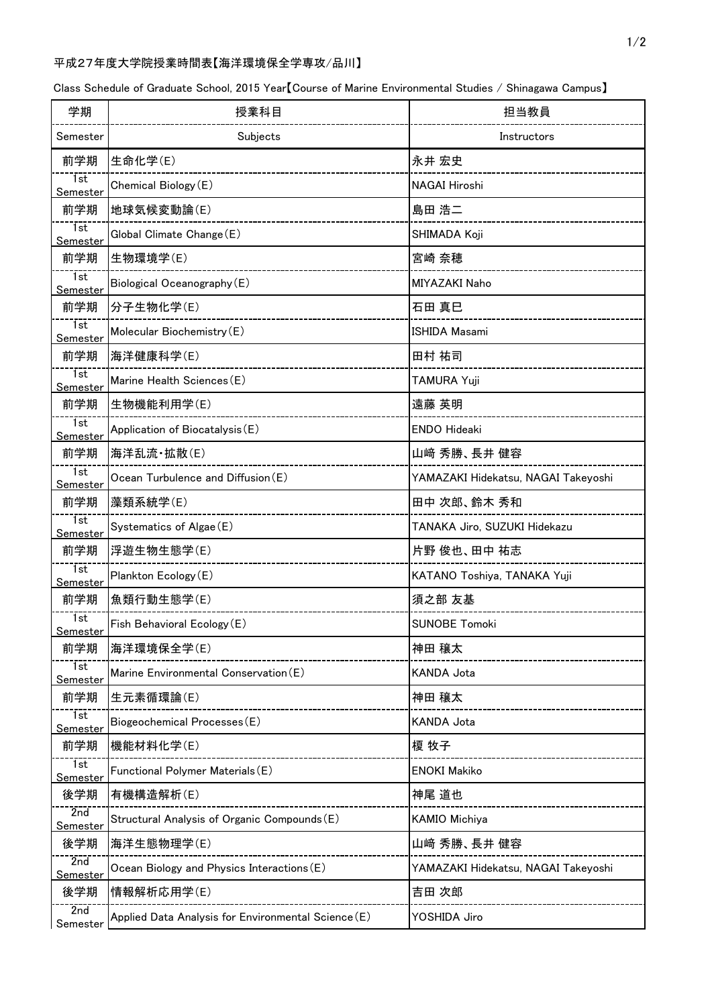## 平成27年度大学院授業時間表【海洋環境保全学専攻/品川】

Class Schedule of Graduate School, 2015 Year【Course of Marine Environmental Studies / Shinagawa Campus】

| 学期                                   | 授業科目                                                | 担当教員                                |
|--------------------------------------|-----------------------------------------------------|-------------------------------------|
| Semester                             | Subjects                                            | Instructors                         |
| 前学期                                  | 生命化学(E)                                             | 永井 宏史                               |
| 1st<br><u>Semester</u>               | Chemical Biology (E)                                | <b>NAGAI Hiroshi</b>                |
| 前学期                                  | 地球気候変動論(E)                                          | 島田 浩二                               |
| $\overline{1st}$<br>Semester         | Global Climate Change (E)                           | SHIMADA Koji                        |
| 前学期                                  | 生物環境学(E)                                            | 宮崎 奈穂                               |
| 1st<br>Semester                      | Biological Oceanography (E)                         | MIYAZAKI Naho                       |
| 前学期                                  | 分子生物化学(E)                                           | 石田 真巳                               |
| 1st<br><u>Semester</u>               | Molecular Biochemistry (E)                          | <b>ISHIDA Masami</b>                |
| 前学期                                  | 海洋健康科学(E)                                           | 田村 祐司                               |
| $\overline{1}$ st<br><u>Semester</u> | Marine Health Sciences (E)                          | TAMURA Yuji                         |
| 前学期                                  | 生物機能利用学(E)                                          | 遠藤 英明                               |
| 1st<br><u>Semester</u>               | Application of Biocatalysis (E)                     | <b>ENDO Hideaki</b>                 |
| 前学期                                  | 海洋乱流·拡散(E)                                          | 山﨑 秀勝、長井 健容                         |
| 1st<br>Semester                      | Ocean Turbulence and Diffusion(E)                   | YAMAZAKI Hidekatsu, NAGAI Takeyoshi |
| 前学期                                  | 藻類系統学(E)                                            | 田中 次郎、鈴木 秀和                         |
| 1st<br>Semester                      | Systematics of Algae (E)                            | TANAKA Jiro, SUZUKI Hidekazu        |
| 前学期                                  | 浮遊生物生態学(E)                                          | 片野 俊也、田中 祐志                         |
| 1st<br><u>Semester</u>               | Plankton Ecology (E)                                | KATANO Toshiya, TANAKA Yuji         |
| 前学期                                  | 魚類行動生態学(E)                                          | 須之部 友基                              |
| 1st<br>Semester                      | Fish Behavioral Ecology (E)                         | <b>SUNOBE Tomoki</b>                |
| 前学期                                  | 海洋環境保全学(E)                                          | 神田 穣太                               |
| 7st<br>Semester                      | Marine Environmental Conservation (E)               | KANDA Jota                          |
| 前学期                                  | 生元素循環論(E)                                           | 神田 穣太                               |
| 1st<br><u>Semester</u>               | Biogeochemical Processes (E)                        | KANDA Jota                          |
| 前学期                                  | 機能材料化学(E)                                           | 榎 牧子                                |
| 1st<br>Semester                      | Functional Polymer Materials (E)                    | <b>ENOKI Makiko</b>                 |
| 後学期                                  | 有機構造解析(E)                                           | 神尾 道也                               |
| 2nd<br><u>Semester</u>               | Structural Analysis of Organic Compounds (E)        | <b>KAMIO Michiya</b>                |
| 後学期                                  | 海洋生態物理学(E)                                          | 山﨑 秀勝、長井 健容                         |
| 2nd<br><u>Semester</u>               | Ocean Biology and Physics Interactions (E)          | YAMAZAKI Hidekatsu, NAGAI Takeyoshi |
| 後学期                                  | 情報解析応用学(E)                                          | 吉田 次郎                               |
| 2nd<br>Semester                      | Applied Data Analysis for Environmental Science (E) | YOSHIDA Jiro                        |